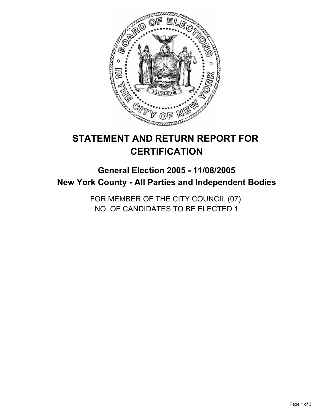

# **STATEMENT AND RETURN REPORT FOR CERTIFICATION**

## **General Election 2005 - 11/08/2005 New York County - All Parties and Independent Bodies**

FOR MEMBER OF THE CITY COUNCIL (07) NO. OF CANDIDATES TO BE ELECTED 1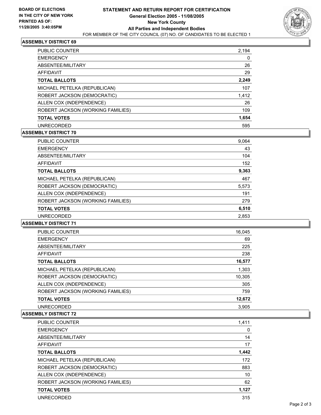

## **ASSEMBLY DISTRICT 69**

| 2,194<br><b>PUBLIC COUNTER</b>           |   |
|------------------------------------------|---|
| <b>EMERGENCY</b>                         | 0 |
| 26<br>ABSENTEE/MILITARY                  |   |
| 29<br><b>AFFIDAVIT</b>                   |   |
| 2,249<br><b>TOTAL BALLOTS</b>            |   |
| 107<br>MICHAEL PETELKA (REPUBLICAN)      |   |
| ROBERT JACKSON (DEMOCRATIC)<br>1,412     |   |
| ALLEN COX (INDEPENDENCE)<br>26           |   |
| ROBERT JACKSON (WORKING FAMILIES)<br>109 |   |
| 1,654<br><b>TOTAL VOTES</b>              |   |
| <b>UNRECORDED</b><br>595                 |   |

## **ASSEMBLY DISTRICT 70**

| <b>PUBLIC COUNTER</b>             | 9,064 |
|-----------------------------------|-------|
| <b>EMERGENCY</b>                  | 43    |
| ABSENTEE/MILITARY                 | 104   |
| <b>AFFIDAVIT</b>                  | 152   |
| <b>TOTAL BALLOTS</b>              | 9,363 |
| MICHAEL PETELKA (REPUBLICAN)      | 467   |
| ROBERT JACKSON (DEMOCRATIC)       | 5,573 |
| ALLEN COX (INDEPENDENCE)          | 191   |
| ROBERT JACKSON (WORKING FAMILIES) | 279   |
| <b>TOTAL VOTES</b>                | 6,510 |
| <b>UNRECORDED</b>                 | 2,853 |
|                                   |       |

#### **ASSEMBLY DISTRICT 71**

| PUBLIC COUNTER                    | 16,045 |
|-----------------------------------|--------|
| <b>EMERGENCY</b>                  | 69     |
| ABSENTEE/MILITARY                 | 225    |
| AFFIDAVIT                         | 238    |
| <b>TOTAL BALLOTS</b>              | 16,577 |
| MICHAEL PETELKA (REPUBLICAN)      | 1,303  |
| ROBERT JACKSON (DEMOCRATIC)       | 10,305 |
| ALLEN COX (INDEPENDENCE)          | 305    |
| ROBERT JACKSON (WORKING FAMILIES) | 759    |
| <b>TOTAL VOTES</b>                | 12,672 |
| <b>UNRECORDED</b>                 | 3.905  |

#### **ASSEMBLY DISTRICT 72**

| PUBLIC COUNTER                    | 1,411 |
|-----------------------------------|-------|
| <b>EMERGENCY</b>                  |       |
| ABSENTEE/MILITARY                 | 14    |
| <b>AFFIDAVIT</b>                  | 17    |
| <b>TOTAL BALLOTS</b>              | 1,442 |
| MICHAEL PETELKA (REPUBLICAN)      | 172   |
| ROBERT JACKSON (DEMOCRATIC)       | 883   |
| ALLEN COX (INDEPENDENCE)          | 10    |
| ROBERT JACKSON (WORKING FAMILIES) | 62    |
| <b>TOTAL VOTES</b>                | 1,127 |
| <b>UNRECORDED</b>                 | 315   |